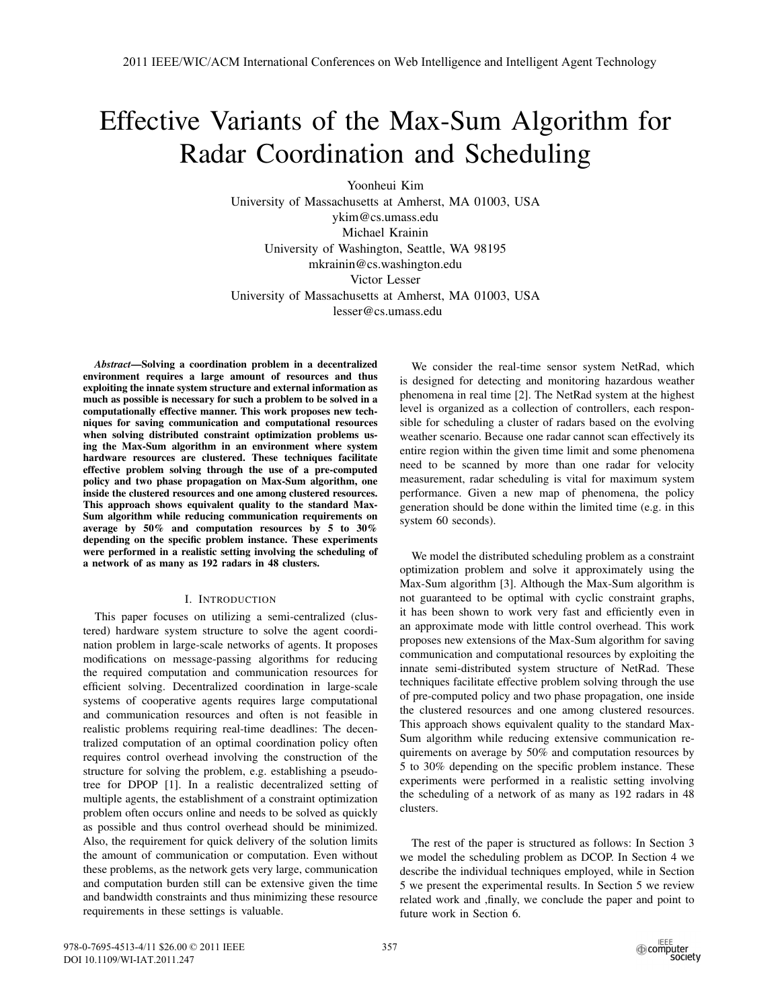# Effective Variants of the Max-Sum Algorithm for Radar Coordination and Scheduling

Yoonheui Kim University of Massachusetts at Amherst, MA 01003, USA ykim@cs.umass.edu Michael Krainin University of Washington, Seattle, WA 98195 mkrainin@cs.washington.edu Victor Lesser University of Massachusetts at Amherst, MA 01003, USA lesser@cs.umass.edu

*Abstract*—Solving a coordination problem in a decentralized environment requires a large amount of resources and thus exploiting the innate system structure and external information as much as possible is necessary for such a problem to be solved in a computationally effective manner. This work proposes new techniques for saving communication and computational resources when solving distributed constraint optimization problems using the Max-Sum algorithm in an environment where system hardware resources are clustered. These techniques facilitate effective problem solving through the use of a pre-computed policy and two phase propagation on Max-Sum algorithm, one inside the clustered resources and one among clustered resources. This approach shows equivalent quality to the standard Max-Sum algorithm while reducing communication requirements on average by 50% and computation resources by 5 to 30% depending on the specific problem instance. These experiments were performed in a realistic setting involving the scheduling of a network of as many as 192 radars in 48 clusters.

# I. INTRODUCTION

This paper focuses on utilizing a semi-centralized (clustered) hardware system structure to solve the agent coordination problem in large-scale networks of agents. It proposes modifications on message-passing algorithms for reducing the required computation and communication resources for efficient solving. Decentralized coordination in large-scale systems of cooperative agents requires large computational and communication resources and often is not feasible in realistic problems requiring real-time deadlines: The decentralized computation of an optimal coordination policy often requires control overhead involving the construction of the structure for solving the problem, e.g. establishing a pseudotree for DPOP [1]. In a realistic decentralized setting of multiple agents, the establishment of a constraint optimization problem often occurs online and needs to be solved as quickly as possible and thus control overhead should be minimized. Also, the requirement for quick delivery of the solution limits the amount of communication or computation. Even without these problems, as the network gets very large, communication and computation burden still can be extensive given the time and bandwidth constraints and thus minimizing these resource requirements in these settings is valuable.

We consider the real-time sensor system NetRad, which is designed for detecting and monitoring hazardous weather phenomena in real time [2]. The NetRad system at the highest level is organized as a collection of controllers, each responsible for scheduling a cluster of radars based on the evolving weather scenario. Because one radar cannot scan effectively its entire region within the given time limit and some phenomena need to be scanned by more than one radar for velocity measurement, radar scheduling is vital for maximum system performance. Given a new map of phenomena, the policy generation should be done within the limited time (e.g. in this system 60 seconds).

We model the distributed scheduling problem as a constraint optimization problem and solve it approximately using the Max-Sum algorithm [3]. Although the Max-Sum algorithm is not guaranteed to be optimal with cyclic constraint graphs, it has been shown to work very fast and efficiently even in an approximate mode with little control overhead. This work proposes new extensions of the Max-Sum algorithm for saving communication and computational resources by exploiting the innate semi-distributed system structure of NetRad. These techniques facilitate effective problem solving through the use of pre-computed policy and two phase propagation, one inside the clustered resources and one among clustered resources. This approach shows equivalent quality to the standard Max-Sum algorithm while reducing extensive communication requirements on average by 50% and computation resources by 5 to 30% depending on the specific problem instance. These experiments were performed in a realistic setting involving the scheduling of a network of as many as 192 radars in 48 clusters.

The rest of the paper is structured as follows: In Section 3 we model the scheduling problem as DCOP. In Section 4 we describe the individual techniques employed, while in Section 5 we present the experimental results. In Section 5 we review related work and ,finally, we conclude the paper and point to future work in Section 6.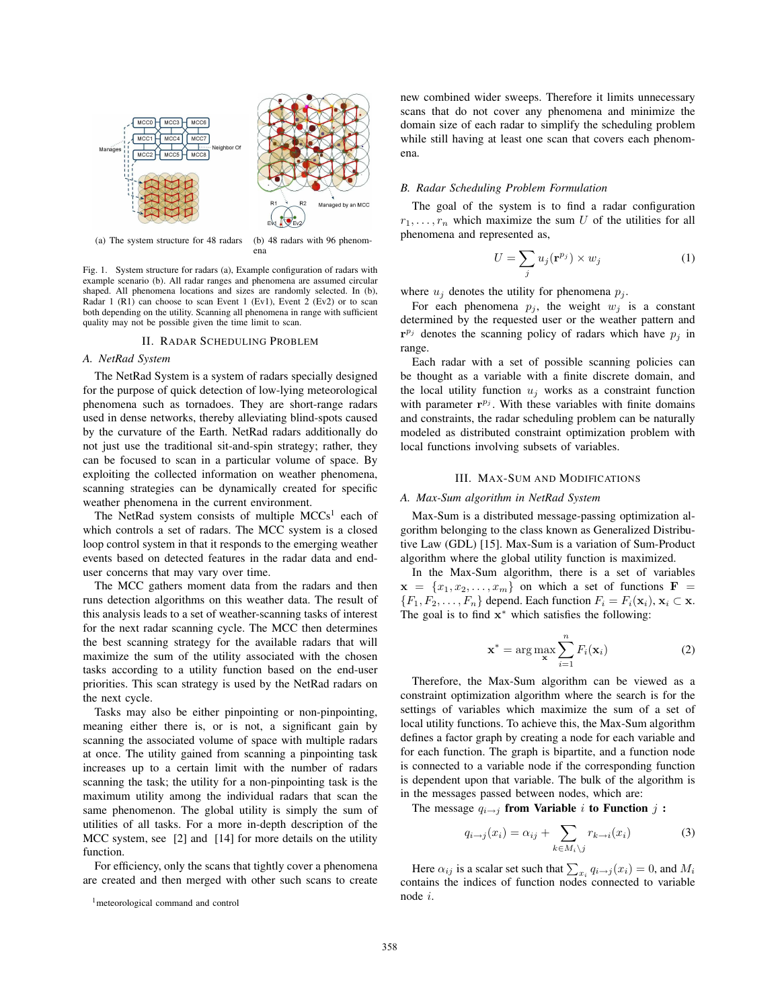

(a) The system structure for 48 radars (b) 48 radars with 96 phenomena

Fig. 1. System structure for radars (a), Example configuration of radars with example scenario (b). All radar ranges and phenomena are assumed circular shaped. All phenomena locations and sizes are randomly selected. In (b), Radar 1 (R1) can choose to scan Event 1 (Ev1), Event 2 (Ev2) or to scan both depending on the utility. Scanning all phenomena in range with sufficient quality may not be possible given the time limit to scan.

#### II. RADAR SCHEDULING PROBLEM

## *A. NetRad System*

The NetRad System is a system of radars specially designed for the purpose of quick detection of low-lying meteorological phenomena such as tornadoes. They are short-range radars used in dense networks, thereby alleviating blind-spots caused by the curvature of the Earth. NetRad radars additionally do not just use the traditional sit-and-spin strategy; rather, they can be focused to scan in a particular volume of space. By exploiting the collected information on weather phenomena, scanning strategies can be dynamically created for specific weather phenomena in the current environment.

The NetRad system consists of multiple  $MCCs<sup>1</sup>$  each of which controls a set of radars. The MCC system is a closed loop control system in that it responds to the emerging weather events based on detected features in the radar data and enduser concerns that may vary over time.

The MCC gathers moment data from the radars and then runs detection algorithms on this weather data. The result of this analysis leads to a set of weather-scanning tasks of interest for the next radar scanning cycle. The MCC then determines the best scanning strategy for the available radars that will maximize the sum of the utility associated with the chosen tasks according to a utility function based on the end-user priorities. This scan strategy is used by the NetRad radars on the next cycle.

Tasks may also be either pinpointing or non-pinpointing, meaning either there is, or is not, a significant gain by scanning the associated volume of space with multiple radars at once. The utility gained from scanning a pinpointing task increases up to a certain limit with the number of radars scanning the task; the utility for a non-pinpointing task is the maximum utility among the individual radars that scan the same phenomenon. The global utility is simply the sum of utilities of all tasks. For a more in-depth description of the MCC system, see [2] and [14] for more details on the utility function.

For efficiency, only the scans that tightly cover a phenomena are created and then merged with other such scans to create new combined wider sweeps. Therefore it limits unnecessary scans that do not cover any phenomena and minimize the domain size of each radar to simplify the scheduling problem while still having at least one scan that covers each phenomena.

#### *B. Radar Scheduling Problem Formulation*

The goal of the system is to find a radar configuration  $r_1, \ldots, r_n$  which maximize the sum U of the utilities for all phenomena and represented as,

$$
U = \sum_{j} u_j(\mathbf{r}^{p_j}) \times w_j \tag{1}
$$

where  $u_i$  denotes the utility for phenomena  $p_i$ .

For each phenomena  $p_j$ , the weight  $w_j$  is a constant determined by the requested user or the weather pattern and  $r^{p_j}$  denotes the scanning policy of radars which have  $p_j$  in range.

Each radar with a set of possible scanning policies can be thought as a variable with a finite discrete domain, and the local utility function  $u_j$  works as a constraint function with parameter  $\mathbf{r}^{p_j}$ . With these variables with finite domains and constraints, the radar scheduling problem can be naturally modeled as distributed constraint optimization problem with local functions involving subsets of variables.

#### III. MAX-SUM AND MODIFICATIONS

#### *A. Max-Sum algorithm in NetRad System*

Max-Sum is a distributed message-passing optimization algorithm belonging to the class known as Generalized Distributive Law (GDL) [15]. Max-Sum is a variation of Sum-Product algorithm where the global utility function is maximized.

In the Max-Sum algorithm, there is a set of variables  $\mathbf{x} = \{x_1, x_2, \dots, x_m\}$  on which a set of functions  $\mathbf{F} =$  ${F_1, F_2, \ldots, F_n}$  depend. Each function  $F_i = F_i(\mathbf{x}_i), \mathbf{x}_i \subset \mathbf{x}$ . The goal is to find **x**<sup>∗</sup> which satisfies the following:

$$
\mathbf{x}^* = \arg \max_{\mathbf{x}} \sum_{i=1}^n F_i(\mathbf{x}_i)
$$
 (2)

Therefore, the Max-Sum algorithm can be viewed as a constraint optimization algorithm where the search is for the settings of variables which maximize the sum of a set of local utility functions. To achieve this, the Max-Sum algorithm defines a factor graph by creating a node for each variable and for each function. The graph is bipartite, and a function node is connected to a variable node if the corresponding function is dependent upon that variable. The bulk of the algorithm is in the messages passed between nodes, which are:

The message  $q_{i\rightarrow j}$  from Variable *i* to Function *j* :

$$
q_{i \to j}(x_i) = \alpha_{ij} + \sum_{k \in M_i \setminus j} r_{k \to i}(x_i)
$$
 (3)

Here  $\alpha_{ij}$  is a scalar set such that  $\sum_{x_i} q_{i\rightarrow j}(x_i) = 0$ , and  $M_i$ <br>outsing the indices of function nodes connected to variable contains the indices of function nodes connected to variable node i.

<sup>&</sup>lt;sup>1</sup> meteorological command and control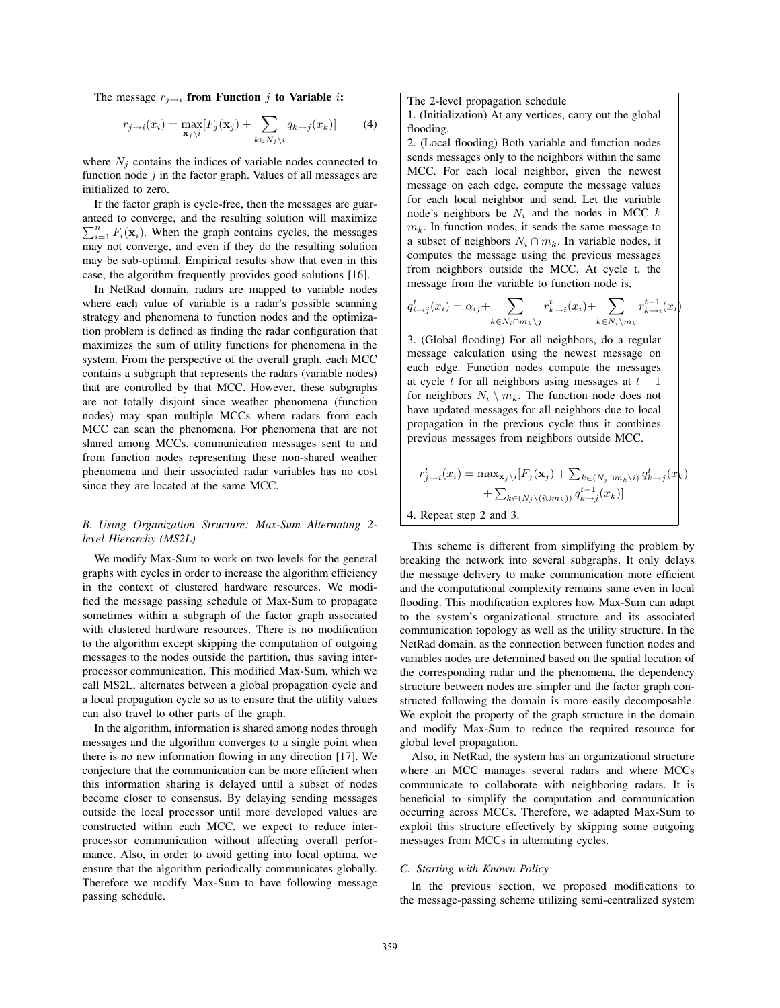The message  $r_{j\rightarrow i}$  from Function j to Variable i:

$$
r_{j \to i}(x_i) = \max_{\mathbf{x}_j \setminus i} [F_j(\mathbf{x}_j) + \sum_{k \in N_j \setminus i} q_{k \to j}(x_k)] \tag{4}
$$

where  $N_j$  contains the indices of variable nodes connected to function node  $j$  in the factor graph. Values of all messages are initialized to zero.

If the factor graph is cycle-free, then the messages are guaranteed to converge, and the resulting solution will maximize  $\sum_{i=1}^{n} F_i(\mathbf{x}_i)$ . When the graph contains cycles, the messages may not converge and even if they do the resulting solution may not converge, and even if they do the resulting solution may be sub-optimal. Empirical results show that even in this case, the algorithm frequently provides good solutions [16].

In NetRad domain, radars are mapped to variable nodes where each value of variable is a radar's possible scanning strategy and phenomena to function nodes and the optimization problem is defined as finding the radar configuration that maximizes the sum of utility functions for phenomena in the system. From the perspective of the overall graph, each MCC contains a subgraph that represents the radars (variable nodes) that are controlled by that MCC. However, these subgraphs are not totally disjoint since weather phenomena (function nodes) may span multiple MCCs where radars from each MCC can scan the phenomena. For phenomena that are not shared among MCCs, communication messages sent to and from function nodes representing these non-shared weather phenomena and their associated radar variables has no cost since they are located at the same MCC.

# *B. Using Organization Structure: Max-Sum Alternating 2 level Hierarchy (MS2L)*

We modify Max-Sum to work on two levels for the general graphs with cycles in order to increase the algorithm efficiency in the context of clustered hardware resources. We modified the message passing schedule of Max-Sum to propagate sometimes within a subgraph of the factor graph associated with clustered hardware resources. There is no modification to the algorithm except skipping the computation of outgoing messages to the nodes outside the partition, thus saving interprocessor communication. This modified Max-Sum, which we call MS2L, alternates between a global propagation cycle and a local propagation cycle so as to ensure that the utility values can also travel to other parts of the graph.

In the algorithm, information is shared among nodes through messages and the algorithm converges to a single point when there is no new information flowing in any direction [17]. We conjecture that the communication can be more efficient when this information sharing is delayed until a subset of nodes become closer to consensus. By delaying sending messages outside the local processor until more developed values are constructed within each MCC, we expect to reduce interprocessor communication without affecting overall performance. Also, in order to avoid getting into local optima, we ensure that the algorithm periodically communicates globally. Therefore we modify Max-Sum to have following message passing schedule.

The 2-level propagation schedule

1. (Initialization) At any vertices, carry out the global flooding.

2. (Local flooding) Both variable and function nodes sends messages only to the neighbors within the same MCC. For each local neighbor, given the newest message on each edge, compute the message values for each local neighbor and send. Let the variable node's neighbors be  $N_i$  and the nodes in MCC  $k$  $m_k$ . In function nodes, it sends the same message to a subset of neighbors  $N_i \cap m_k$ . In variable nodes, it computes the message using the previous messages from neighbors outside the MCC. At cycle t, the message from the variable to function node is,

$$
q_{i \to j}^t(x_i) = \alpha_{ij} + \sum_{k \in N_i \cap m_k \setminus j} r_{k \to i}^t(x_i) + \sum_{k \in N_i \setminus m_k} r_{k \to i}^{t-1}(x_i)
$$

3. (Global flooding) For all neighbors, do a regular message calculation using the newest message on each edge. Function nodes compute the messages at cycle t for all neighbors using messages at  $t - 1$ for neighbors  $N_i \setminus m_k$ . The function node does not have updated messages for all neighbors due to local propagation in the previous cycle thus it combines previous messages from neighbors outside MCC.

$$
r_{j \to i}^t(x_i) = \max_{\mathbf{x}_j \setminus i} [F_j(\mathbf{x}_j) + \sum_{k \in (N_j \cap m_k \setminus i)} q_{k \to j}^t(x_k) + \sum_{k \in (N_j \setminus (i \cup m_k))} q_{k \to j}^{t-1}(x_k)]
$$
  
4. Repeat step 2 and 3.

This scheme is different from simplifying the problem by breaking the network into several subgraphs. It only delays the message delivery to make communication more efficient and the computational complexity remains same even in local flooding. This modification explores how Max-Sum can adapt to the system's organizational structure and its associated communication topology as well as the utility structure. In the NetRad domain, as the connection between function nodes and variables nodes are determined based on the spatial location of the corresponding radar and the phenomena, the dependency structure between nodes are simpler and the factor graph constructed following the domain is more easily decomposable. We exploit the property of the graph structure in the domain and modify Max-Sum to reduce the required resource for global level propagation.

Also, in NetRad, the system has an organizational structure where an MCC manages several radars and where MCCs communicate to collaborate with neighboring radars. It is beneficial to simplify the computation and communication occurring across MCCs. Therefore, we adapted Max-Sum to exploit this structure effectively by skipping some outgoing messages from MCCs in alternating cycles.

## *C. Starting with Known Policy*

In the previous section, we proposed modifications to the message-passing scheme utilizing semi-centralized system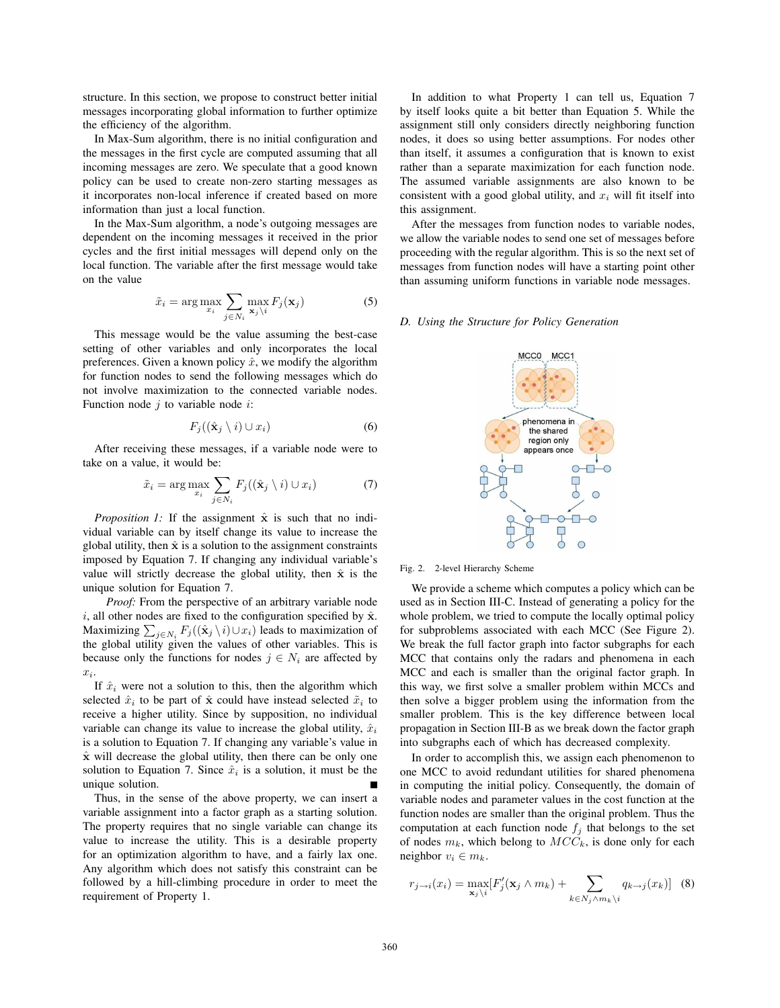structure. In this section, we propose to construct better initial messages incorporating global information to further optimize the efficiency of the algorithm.

In Max-Sum algorithm, there is no initial configuration and the messages in the first cycle are computed assuming that all incoming messages are zero. We speculate that a good known policy can be used to create non-zero starting messages as it incorporates non-local inference if created based on more information than just a local function.

In the Max-Sum algorithm, a node's outgoing messages are dependent on the incoming messages it received in the prior cycles and the first initial messages will depend only on the local function. The variable after the first message would take on the value

$$
\tilde{x}_i = \arg \max_{x_i} \sum_{j \in N_i} \max_{\mathbf{x}_j \setminus i} F_j(\mathbf{x}_j)
$$
 (5)

This message would be the value assuming the best-case setting of other variables and only incorporates the local preferences. Given a known policy  $\hat{x}$ , we modify the algorithm for function nodes to send the following messages which do not involve maximization to the connected variable nodes. Function node  $j$  to variable node  $i$ :

$$
F_j((\hat{\mathbf{x}}_j \setminus i) \cup x_i) \tag{6}
$$

After receiving these messages, if a variable node were to take on a value, it would be:

$$
\tilde{x}_i = \arg \max_{x_i} \sum_{j \in N_i} F_j((\hat{\mathbf{x}}_j \setminus i) \cup x_i)
$$
 (7)

*Proposition 1:* If the assignment  $\hat{x}$  is such that no individual variable can by itself change its value to increase the global utility, then  $\hat{x}$  is a solution to the assignment constraints imposed by Equation 7. If changing any individual variable's value will strictly decrease the global utility, then  $\hat{x}$  is the unique solution for Equation 7.

*Proof:* From the perspective of an arbitrary variable node i, all other nodes are fixed to the configuration specified by  $\hat{\mathbf{x}}$ . Maximizing  $\sum_{j \in N_i} F_j((\hat{\mathbf{x}}_j \setminus i) \cup x_i)$  leads to maximization of the global utility given the values of other variables. This is the global utility given the values of other variables. This is because only the functions for nodes  $j \in N_i$  are affected by  $x_i$ .

If  $\hat{x}_i$  were not a solution to this, then the algorithm which selected  $\hat{x}_i$  to be part of  $\hat{x}$  could have instead selected  $\tilde{x}_i$  to receive a higher utility. Since by supposition, no individual variable can change its value to increase the global utility,  $\hat{x}_i$ is a solution to Equation 7. If changing any variable's value in  $\hat{x}$  will decrease the global utility, then there can be only one solution to Equation 7. Since  $\hat{x}_i$  is a solution, it must be the unique solution.

Thus, in the sense of the above property, we can insert a variable assignment into a factor graph as a starting solution. The property requires that no single variable can change its value to increase the utility. This is a desirable property for an optimization algorithm to have, and a fairly lax one. Any algorithm which does not satisfy this constraint can be followed by a hill-climbing procedure in order to meet the requirement of Property 1.

In addition to what Property 1 can tell us, Equation 7 by itself looks quite a bit better than Equation 5. While the assignment still only considers directly neighboring function nodes, it does so using better assumptions. For nodes other than itself, it assumes a configuration that is known to exist rather than a separate maximization for each function node. The assumed variable assignments are also known to be consistent with a good global utility, and  $x_i$  will fit itself into this assignment.

After the messages from function nodes to variable nodes, we allow the variable nodes to send one set of messages before proceeding with the regular algorithm. This is so the next set of messages from function nodes will have a starting point other than assuming uniform functions in variable node messages.

## *D. Using the Structure for Policy Generation*



#### Fig. 2. 2-level Hierarchy Scheme

We provide a scheme which computes a policy which can be used as in Section III-C. Instead of generating a policy for the whole problem, we tried to compute the locally optimal policy for subproblems associated with each MCC (See Figure 2). We break the full factor graph into factor subgraphs for each MCC that contains only the radars and phenomena in each MCC and each is smaller than the original factor graph. In this way, we first solve a smaller problem within MCCs and then solve a bigger problem using the information from the smaller problem. This is the key difference between local propagation in Section III-B as we break down the factor graph into subgraphs each of which has decreased complexity.

In order to accomplish this, we assign each phenomenon to one MCC to avoid redundant utilities for shared phenomena in computing the initial policy. Consequently, the domain of variable nodes and parameter values in the cost function at the function nodes are smaller than the original problem. Thus the computation at each function node  $f_j$  that belongs to the set of nodes  $m_k$ , which belong to  $MCC_k$ , is done only for each neighbor  $v_i \in m_k$ .

$$
r_{j \to i}(x_i) = \max_{\mathbf{x}_j \setminus i} [F'_j(\mathbf{x}_j \wedge m_k) + \sum_{k \in N_j \wedge m_k \setminus i} q_{k \to j}(x_k)] \quad (8)
$$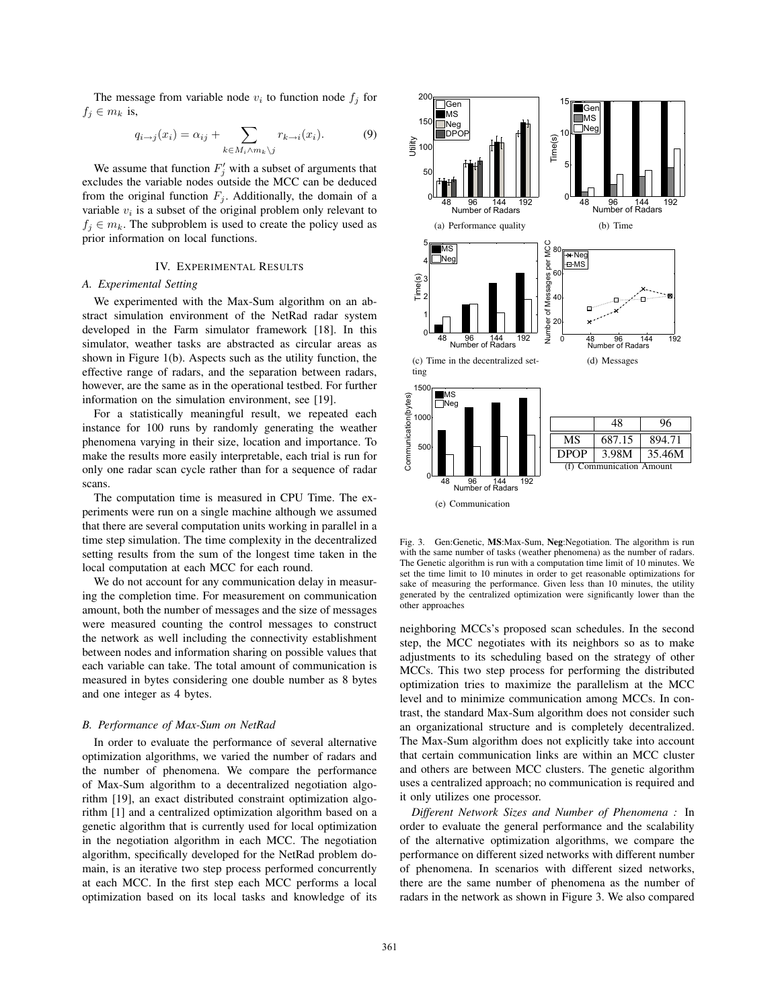The message from variable node  $v_i$  to function node  $f_j$  for  $f_i \in m_k$  is,

$$
q_{i \to j}(x_i) = \alpha_{ij} + \sum_{k \in M_i \wedge m_k \setminus j} r_{k \to i}(x_i). \tag{9}
$$

We assume that function  $F_j'$  with a subset of arguments that excludes the variable nodes outside the MCC can be deduced from the original function  $F_i$ . Additionally, the domain of a variable  $v_i$  is a subset of the original problem only relevant to  $f_j \in m_k$ . The subproblem is used to create the policy used as prior information on local functions.

# IV. EXPERIMENTAL RESULTS

## *A. Experimental Setting*

We experimented with the Max-Sum algorithm on an abstract simulation environment of the NetRad radar system developed in the Farm simulator framework [18]. In this simulator, weather tasks are abstracted as circular areas as shown in Figure 1(b). Aspects such as the utility function, the effective range of radars, and the separation between radars, however, are the same as in the operational testbed. For further information on the simulation environment, see [19].

For a statistically meaningful result, we repeated each instance for 100 runs by randomly generating the weather phenomena varying in their size, location and importance. To make the results more easily interpretable, each trial is run for only one radar scan cycle rather than for a sequence of radar scans.

The computation time is measured in CPU Time. The experiments were run on a single machine although we assumed that there are several computation units working in parallel in a time step simulation. The time complexity in the decentralized setting results from the sum of the longest time taken in the local computation at each MCC for each round.

We do not account for any communication delay in measuring the completion time. For measurement on communication amount, both the number of messages and the size of messages were measured counting the control messages to construct the network as well including the connectivity establishment between nodes and information sharing on possible values that each variable can take. The total amount of communication is measured in bytes considering one double number as 8 bytes and one integer as 4 bytes.

#### *B. Performance of Max-Sum on NetRad*

In order to evaluate the performance of several alternative optimization algorithms, we varied the number of radars and the number of phenomena. We compare the performance of Max-Sum algorithm to a decentralized negotiation algorithm [19], an exact distributed constraint optimization algorithm [1] and a centralized optimization algorithm based on a genetic algorithm that is currently used for local optimization in the negotiation algorithm in each MCC. The negotiation algorithm, specifically developed for the NetRad problem domain, is an iterative two step process performed concurrently at each MCC. In the first step each MCC performs a local optimization based on its local tasks and knowledge of its



Fig. 3. Gen:Genetic, MS:Max-Sum, Neg:Negotiation. The algorithm is run with the same number of tasks (weather phenomena) as the number of radars. The Genetic algorithm is run with a computation time limit of 10 minutes. We set the time limit to 10 minutes in order to get reasonable optimizations for sake of measuring the performance. Given less than 10 minutes, the utility generated by the centralized optimization were significantly lower than the other approaches

neighboring MCCs's proposed scan schedules. In the second step, the MCC negotiates with its neighbors so as to make adjustments to its scheduling based on the strategy of other MCCs. This two step process for performing the distributed optimization tries to maximize the parallelism at the MCC level and to minimize communication among MCCs. In contrast, the standard Max-Sum algorithm does not consider such an organizational structure and is completely decentralized. The Max-Sum algorithm does not explicitly take into account that certain communication links are within an MCC cluster and others are between MCC clusters. The genetic algorithm uses a centralized approach; no communication is required and it only utilizes one processor.

*Different Network Sizes and Number of Phenomena :* In order to evaluate the general performance and the scalability of the alternative optimization algorithms, we compare the performance on different sized networks with different number of phenomena. In scenarios with different sized networks, there are the same number of phenomena as the number of radars in the network as shown in Figure 3. We also compared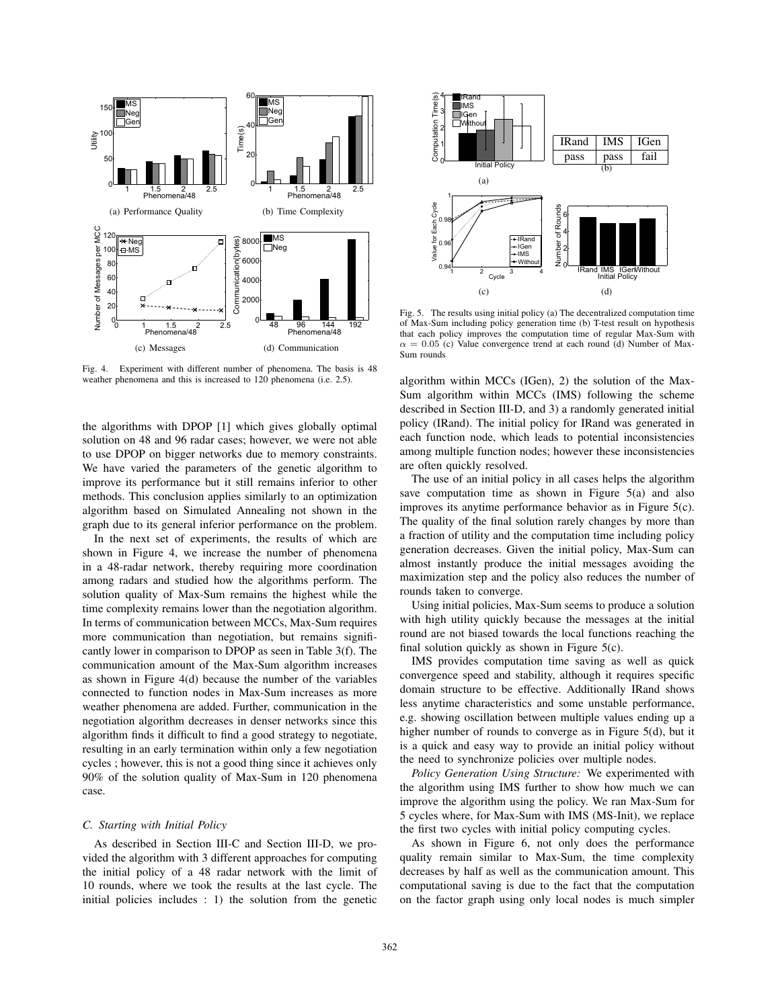

Fig. 4. Experiment with different number of phenomena. The basis is 48 weather phenomena and this is increased to 120 phenomena (i.e. 2.5).

the algorithms with DPOP [1] which gives globally optimal solution on 48 and 96 radar cases; however, we were not able to use DPOP on bigger networks due to memory constraints. We have varied the parameters of the genetic algorithm to improve its performance but it still remains inferior to other methods. This conclusion applies similarly to an optimization algorithm based on Simulated Annealing not shown in the graph due to its general inferior performance on the problem.

In the next set of experiments, the results of which are shown in Figure 4, we increase the number of phenomena in a 48-radar network, thereby requiring more coordination among radars and studied how the algorithms perform. The solution quality of Max-Sum remains the highest while the time complexity remains lower than the negotiation algorithm. In terms of communication between MCCs, Max-Sum requires more communication than negotiation, but remains significantly lower in comparison to DPOP as seen in Table 3(f). The communication amount of the Max-Sum algorithm increases as shown in Figure 4(d) because the number of the variables connected to function nodes in Max-Sum increases as more weather phenomena are added. Further, communication in the negotiation algorithm decreases in denser networks since this algorithm finds it difficult to find a good strategy to negotiate, resulting in an early termination within only a few negotiation cycles ; however, this is not a good thing since it achieves only 90% of the solution quality of Max-Sum in 120 phenomena case.

#### *C. Starting with Initial Policy*

As described in Section III-C and Section III-D, we provided the algorithm with 3 different approaches for computing the initial policy of a 48 radar network with the limit of 10 rounds, where we took the results at the last cycle. The initial policies includes : 1) the solution from the genetic



Fig. 5. The results using initial policy (a) The decentralized computation time of Max-Sum including policy generation time (b) T-test result on hypothesis that each policy improves the computation time of regular Max-Sum with  $\alpha = 0.05$  (c) Value convergence trend at each round (d) Number of Max-Sum rounds

algorithm within MCCs (IGen), 2) the solution of the Max-Sum algorithm within MCCs (IMS) following the scheme described in Section III-D, and 3) a randomly generated initial policy (IRand). The initial policy for IRand was generated in each function node, which leads to potential inconsistencies among multiple function nodes; however these inconsistencies are often quickly resolved.

The use of an initial policy in all cases helps the algorithm save computation time as shown in Figure 5(a) and also improves its anytime performance behavior as in Figure 5(c). The quality of the final solution rarely changes by more than a fraction of utility and the computation time including policy generation decreases. Given the initial policy, Max-Sum can almost instantly produce the initial messages avoiding the maximization step and the policy also reduces the number of rounds taken to converge.

Using initial policies, Max-Sum seems to produce a solution with high utility quickly because the messages at the initial round are not biased towards the local functions reaching the final solution quickly as shown in Figure 5(c).

IMS provides computation time saving as well as quick convergence speed and stability, although it requires specific domain structure to be effective. Additionally IRand shows less anytime characteristics and some unstable performance, e.g. showing oscillation between multiple values ending up a higher number of rounds to converge as in Figure 5(d), but it is a quick and easy way to provide an initial policy without the need to synchronize policies over multiple nodes.

*Policy Generation Using Structure:* We experimented with the algorithm using IMS further to show how much we can improve the algorithm using the policy. We ran Max-Sum for 5 cycles where, for Max-Sum with IMS (MS-Init), we replace the first two cycles with initial policy computing cycles.

As shown in Figure 6, not only does the performance quality remain similar to Max-Sum, the time complexity decreases by half as well as the communication amount. This computational saving is due to the fact that the computation on the factor graph using only local nodes is much simpler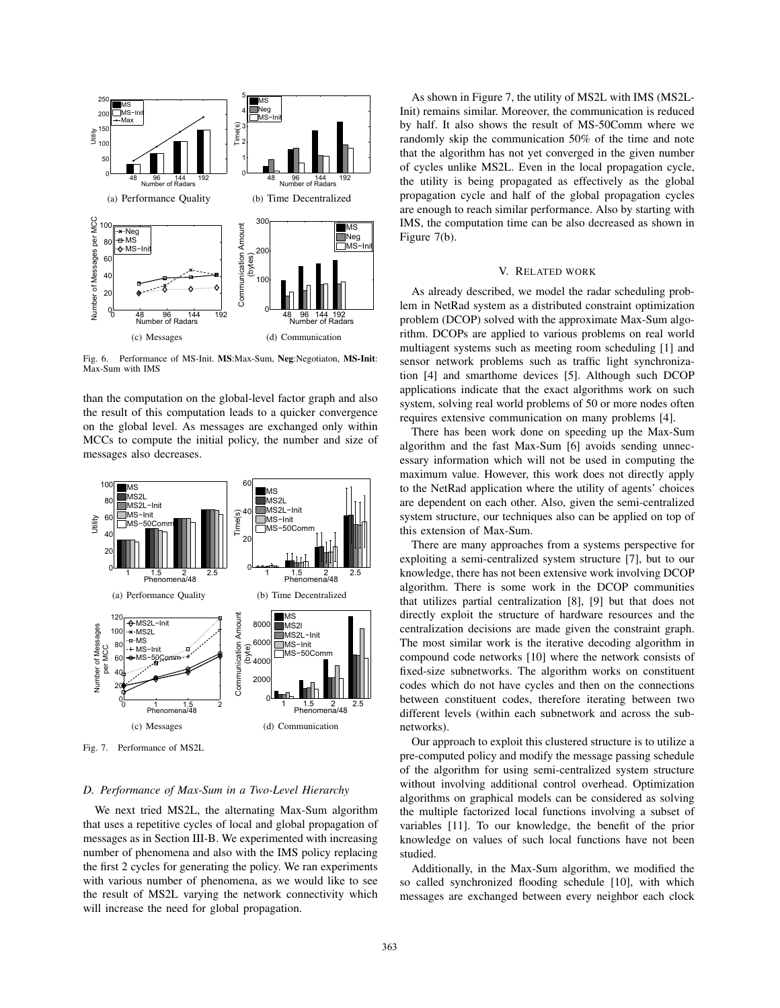

Fig. 6. Performance of MS-Init. MS:Max-Sum, Neg:Negotiaton, MS-Init: Max-Sum with IMS

than the computation on the global-level factor graph and also the result of this computation leads to a quicker convergence on the global level. As messages are exchanged only within MCCs to compute the initial policy, the number and size of messages also decreases.



Fig. 7. Performance of MS2L

# *D. Performance of Max-Sum in a Two-Level Hierarchy*

We next tried MS2L, the alternating Max-Sum algorithm that uses a repetitive cycles of local and global propagation of messages as in Section III-B. We experimented with increasing number of phenomena and also with the IMS policy replacing the first 2 cycles for generating the policy. We ran experiments with various number of phenomena, as we would like to see the result of MS2L varying the network connectivity which will increase the need for global propagation.

As shown in Figure 7, the utility of MS2L with IMS (MS2L-Init) remains similar. Moreover, the communication is reduced by half. It also shows the result of MS-50Comm where we randomly skip the communication 50% of the time and note that the algorithm has not yet converged in the given number of cycles unlike MS2L. Even in the local propagation cycle, the utility is being propagated as effectively as the global propagation cycle and half of the global propagation cycles are enough to reach similar performance. Also by starting with IMS, the computation time can be also decreased as shown in Figure 7(b).

#### V. RELATED WORK

As already described, we model the radar scheduling problem in NetRad system as a distributed constraint optimization problem (DCOP) solved with the approximate Max-Sum algorithm. DCOPs are applied to various problems on real world multiagent systems such as meeting room scheduling [1] and sensor network problems such as traffic light synchronization [4] and smarthome devices [5]. Although such DCOP applications indicate that the exact algorithms work on such system, solving real world problems of 50 or more nodes often requires extensive communication on many problems [4].

There has been work done on speeding up the Max-Sum algorithm and the fast Max-Sum [6] avoids sending unnecessary information which will not be used in computing the maximum value. However, this work does not directly apply to the NetRad application where the utility of agents' choices are dependent on each other. Also, given the semi-centralized system structure, our techniques also can be applied on top of this extension of Max-Sum.

There are many approaches from a systems perspective for exploiting a semi-centralized system structure [7], but to our knowledge, there has not been extensive work involving DCOP algorithm. There is some work in the DCOP communities that utilizes partial centralization [8], [9] but that does not directly exploit the structure of hardware resources and the centralization decisions are made given the constraint graph. The most similar work is the iterative decoding algorithm in compound code networks [10] where the network consists of fixed-size subnetworks. The algorithm works on constituent codes which do not have cycles and then on the connections between constituent codes, therefore iterating between two different levels (within each subnetwork and across the subnetworks).

Our approach to exploit this clustered structure is to utilize a pre-computed policy and modify the message passing schedule of the algorithm for using semi-centralized system structure without involving additional control overhead. Optimization algorithms on graphical models can be considered as solving the multiple factorized local functions involving a subset of variables [11]. To our knowledge, the benefit of the prior knowledge on values of such local functions have not been studied.

Additionally, in the Max-Sum algorithm, we modified the so called synchronized flooding schedule [10], with which messages are exchanged between every neighbor each clock